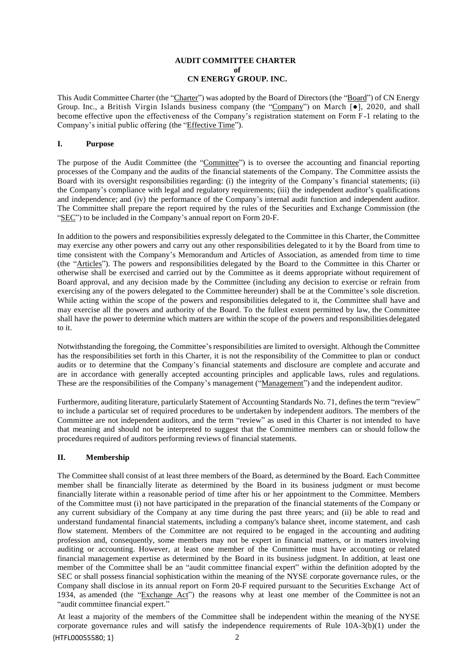### **AUDIT COMMITTEE CHARTER of CN ENERGY GROUP. INC.**

This Audit Committee Charter (the "Charter") was adopted by the Board of Directors (the "Board") of CN Energy Group. Inc., a British Virgin Islands business company (the "Company") on March [●], 2020, and shall become effective upon the effectiveness of the Company's registration statement on Form F-1 relating to the Company's initial public offering (the "Effective Time").

# **I. Purpose**

The purpose of the Audit Committee (the "Committee") is to oversee the accounting and financial reporting processes of the Company and the audits of the financial statements of the Company. The Committee assists the Board with its oversight responsibilities regarding: (i) the integrity of the Company's financial statements; (ii) the Company's compliance with legal and regulatory requirements; (iii) the independent auditor's qualifications and independence; and (iv) the performance of the Company's internal audit function and independent auditor. The Committee shall prepare the report required by the rules of the Securities and Exchange Commission (the "SEC") to be included in the Company's annual report on Form 20-F.

In addition to the powers and responsibilities expressly delegated to the Committee in this Charter, the Committee may exercise any other powers and carry out any other responsibilities delegated to it by the Board from time to time consistent with the Company's Memorandum and Articles of Association, as amended from time to time (the "Articles"). The powers and responsibilities delegated by the Board to the Committee in this Charter or otherwise shall be exercised and carried out by the Committee as it deems appropriate without requirement of Board approval, and any decision made by the Committee (including any decision to exercise or refrain from exercising any of the powers delegated to the Committee hereunder) shall be at the Committee's sole discretion. While acting within the scope of the powers and responsibilities delegated to it, the Committee shall have and may exercise all the powers and authority of the Board. To the fullest extent permitted by law, the Committee shall have the power to determine which matters are within the scope of the powers and responsibilities delegated to it.

Notwithstanding the foregoing, the Committee's responsibilities are limited to oversight. Although the Committee has the responsibilities set forth in this Charter, it is not the responsibility of the Committee to plan or conduct audits or to determine that the Company's financial statements and disclosure are complete and accurate and are in accordance with generally accepted accounting principles and applicable laws, rules and regulations. These are the responsibilities of the Company's management ("Management") and the independent auditor.

Furthermore, auditing literature, particularly Statement of Accounting Standards No. 71, defines the term "review" to include a particular set of required procedures to be undertaken by independent auditors. The members of the Committee are not independent auditors, and the term "review" as used in this Charter is not intended to have that meaning and should not be interpreted to suggest that the Committee members can or should follow the procedures required of auditors performing reviews of financial statements.

### **II. Membership**

The Committee shall consist of at least three members of the Board, as determined by the Board. Each Committee member shall be financially literate as determined by the Board in its business judgment or must become financially literate within a reasonable period of time after his or her appointment to the Committee. Members of the Committee must (i) not have participated in the preparation of the financial statements of the Company or any current subsidiary of the Company at any time during the past three years; and (ii) be able to read and understand fundamental financial statements, including a company's balance sheet, income statement, and cash flow statement. Members of the Committee are not required to be engaged in the accounting and auditing profession and, consequently, some members may not be expert in financial matters, or in matters involving auditing or accounting. However, at least one member of the Committee must have accounting or related financial management expertise as determined by the Board in its business judgment. In addition, at least one member of the Committee shall be an "audit committee financial expert" within the definition adopted by the SEC or shall possess financial sophistication within the meaning of the NYSE corporate governance rules, or the Company shall disclose in its annual report on Form 20-F required pursuant to the Securities Exchange Act of 1934, as amended (the "Exchange Act") the reasons why at least one member of the Committee is not an "audit committee financial expert."

At least a majority of the members of the Committee shall be independent within the meaning of the NYSE corporate governance rules and will satisfy the independence requirements of Rule 10A-3(b)(1) under the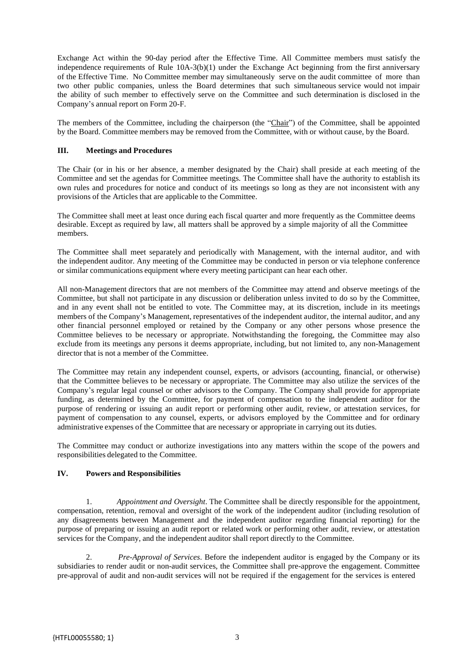Exchange Act within the 90-day period after the Effective Time. All Committee members must satisfy the independence requirements of Rule 10A-3(b)(1) under the Exchange Act beginning from the first anniversary of the Effective Time. No Committee member may simultaneously serve on the audit committee of more than two other public companies, unless the Board determines that such simultaneous service would not impair the ability of such member to effectively serve on the Committee and such determination is disclosed in the Company's annual report on Form 20-F.

The members of the Committee, including the chairperson (the "Chair") of the Committee, shall be appointed by the Board. Committee members may be removed from the Committee, with or without cause, by the Board.

### **III. Meetings and Procedures**

The Chair (or in his or her absence, a member designated by the Chair) shall preside at each meeting of the Committee and set the agendas for Committee meetings. The Committee shall have the authority to establish its own rules and procedures for notice and conduct of its meetings so long as they are not inconsistent with any provisions of the Articles that are applicable to the Committee.

The Committee shall meet at least once during each fiscal quarter and more frequently as the Committee deems desirable. Except as required by law, all matters shall be approved by a simple majority of all the Committee members.

The Committee shall meet separately and periodically with Management, with the internal auditor, and with the independent auditor. Any meeting of the Committee may be conducted in person or via telephone conference or similar communications equipment where every meeting participant can hear each other.

All non-Management directors that are not members of the Committee may attend and observe meetings of the Committee, but shall not participate in any discussion or deliberation unless invited to do so by the Committee, and in any event shall not be entitled to vote. The Committee may, at its discretion, include in its meetings members of the Company's Management, representatives of the independent auditor, the internal auditor, and any other financial personnel employed or retained by the Company or any other persons whose presence the Committee believes to be necessary or appropriate. Notwithstanding the foregoing, the Committee may also exclude from its meetings any persons it deems appropriate, including, but not limited to, any non-Management director that is not a member of the Committee.

The Committee may retain any independent counsel, experts, or advisors (accounting, financial, or otherwise) that the Committee believes to be necessary or appropriate. The Committee may also utilize the services of the Company's regular legal counsel or other advisors to the Company. The Company shall provide for appropriate funding, as determined by the Committee, for payment of compensation to the independent auditor for the purpose of rendering or issuing an audit report or performing other audit, review, or attestation services, for payment of compensation to any counsel, experts, or advisors employed by the Committee and for ordinary administrative expenses of the Committee that are necessary or appropriate in carrying out its duties.

The Committee may conduct or authorize investigations into any matters within the scope of the powers and responsibilities delegated to the Committee.

# **IV. Powers and Responsibilities**

1. *Appointment and Oversight*. The Committee shall be directly responsible for the appointment, compensation, retention, removal and oversight of the work of the independent auditor (including resolution of any disagreements between Management and the independent auditor regarding financial reporting) for the purpose of preparing or issuing an audit report or related work or performing other audit, review, or attestation services for the Company, and the independent auditor shall report directly to the Committee.

2. *Pre-Approval of Services*. Before the independent auditor is engaged by the Company or its subsidiaries to render audit or non-audit services, the Committee shall pre-approve the engagement. Committee pre-approval of audit and non-audit services will not be required if the engagement for the services is entered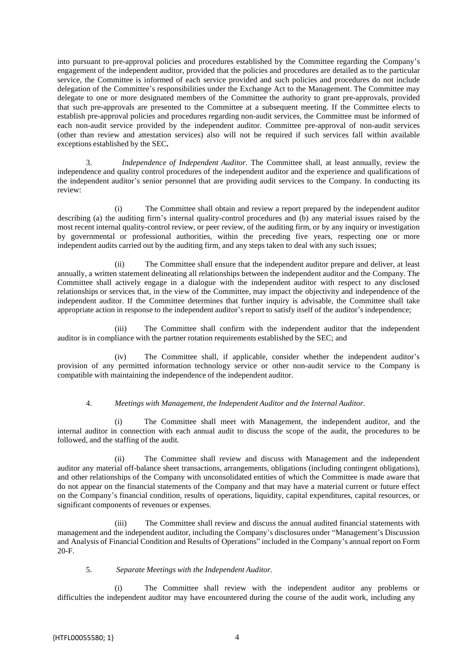into pursuant to pre-approval policies and procedures established by the Committee regarding the Company's engagement of the independent auditor, provided that the policies and procedures are detailed as to the particular service, the Committee is informed of each service provided and such policies and procedures do not include delegation of the Committee's responsibilities under the Exchange Act to the Management. The Committee may delegate to one or more designated members of the Committee the authority to grant pre-approvals, provided that such pre-approvals are presented to the Committee at a subsequent meeting. If the Committee elects to establish pre-approval policies and procedures regarding non-audit services, the Committee must be informed of each non-audit service provided by the independent auditor. Committee pre-approval of non-audit services (other than review and attestation services) also will not be required if such services fall within available exceptions established by the SEC**.**

3. *Independence of Independent Auditor.* The Committee shall, at least annually, review the independence and quality control procedures of the independent auditor and the experience and qualifications of the independent auditor's senior personnel that are providing audit services to the Company*.* In conducting its review:

(i) The Committee shall obtain and review a report prepared by the independent auditor describing (a) the auditing firm's internal quality-control procedures and (b) any material issues raised by the most recent internal quality-control review, or peer review, of the auditing firm, or by any inquiry or investigation by governmental or professional authorities, within the preceding five years, respecting one or more independent audits carried out by the auditing firm, and any steps taken to deal with any such issues;

(ii) The Committee shall ensure that the independent auditor prepare and deliver, at least annually, a written statement delineating all relationships between the independent auditor and the Company. The Committee shall actively engage in a dialogue with the independent auditor with respect to any disclosed relationships or services that, in the view of the Committee, may impact the objectivity and independence of the independent auditor. If the Committee determines that further inquiry is advisable, the Committee shall take appropriate action in response to the independent auditor's report to satisfy itself of the auditor's independence;

(iii) The Committee shall confirm with the independent auditor that the independent auditor is in compliance with the partner rotation requirements established by the SEC; and

(iv) The Committee shall, if applicable, consider whether the independent auditor's provision of any permitted information technology service or other non-audit service to the Company is compatible with maintaining the independence of the independent auditor.

### 4. *Meetings with Management, the Independent Auditor and the Internal Auditor.*

(i) The Committee shall meet with Management, the independent auditor, and the internal auditor in connection with each annual audit to discuss the scope of the audit, the procedures to be followed, and the staffing of the audit.

(ii) The Committee shall review and discuss with Management and the independent auditor any material off-balance sheet transactions, arrangements, obligations (including contingent obligations), and other relationships of the Company with unconsolidated entities of which the Committee is made aware that do not appear on the financial statements of the Company and that may have a material current or future effect on the Company's financial condition, results of operations, liquidity, capital expenditures, capital resources, or significant components of revenues or expenses.

(iii) The Committee shall review and discuss the annual audited financial statements with management and the independent auditor, including the Company's disclosures under "Management's Discussion and Analysis of Financial Condition and Results of Operations" included in the Company's annual report on Form 20-F.

### 5. *Separate Meetings with the Independent Auditor.*

(i) The Committee shall review with the independent auditor any problems or difficulties the independent auditor may have encountered during the course of the audit work, including any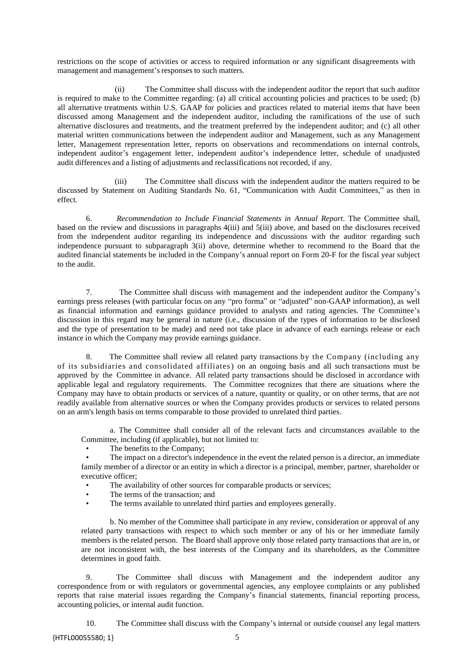restrictions on the scope of activities or access to required information or any significant disagreements with management and management's responses to such matters.

(ii) The Committee shall discuss with the independent auditor the report that such auditor is required to make to the Committee regarding: (a) all critical accounting policies and practices to be used; (b) all alternative treatments within U.S. GAAP for policies and practices related to material items that have been discussed among Management and the independent auditor, including the ramifications of the use of such alternative disclosures and treatments, and the treatment preferred by the independent auditor; and (c) all other material written communications between the independent auditor and Management, such as any Management letter, Management representation letter, reports on observations and recommendations on internal controls, independent auditor's engagement letter, independent auditor's independence letter, schedule of unadjusted audit differences and a listing of adjustments and reclassifications not recorded, if any.

(iii) The Committee shall discuss with the independent auditor the matters required to be discussed by Statement on Auditing Standards No. 61, "Communication with Audit Committees," as then in effect.

6. *Recommendation to Include Financial Statements in Annual Report*. The Committee shall, based on the review and discussions in paragraphs 4(iii) and 5(iii) above, and based on the disclosures received from the independent auditor regarding its independence and discussions with the auditor regarding such independence pursuant to subparagraph 3(ii) above, determine whether to recommend to the Board that the audited financial statements be included in the Company's annual report on Form 20-F for the fiscal year subject to the audit.

7. The Committee shall discuss with management and the independent auditor the Company's earnings press releases (with particular focus on any "pro forma" or "adjusted" non-GAAP information), as well as financial information and earnings guidance provided to analysts and rating agencies. The Committee's discussion in this regard may be general in nature (i.e., discussion of the types of information to be disclosed and the type of presentation to be made) and need not take place in advance of each earnings release or each instance in which the Company may provide earnings guidance.

8. The Committee shall review all related party transactions by the Company (including any of its subsidiaries and consolidated affiliates) on an ongoing basis and all such transactions must be approved by the Committee in advance. All related party transactions should be disclosed in accordance with applicable legal and regulatory requirements. The Committee recognizes that there are situations where the Company may have to obtain products or services of a nature, quantity or quality, or on other terms, that are not readily available from alternative sources or when the Company provides products or services to related persons on an arm's length basis on terms comparable to those provided to unrelated third parties.

a. The Committee shall consider all of the relevant facts and circumstances available to the Committee, including (if applicable), but not limited to:

- The benefits to the Company;
- The impact on a director's independence in the event the related person is a director, an immediate family member of a director or an entity in which a director is a principal, member, partner, shareholder or executive officer;
	- The availability of other sources for comparable products or services;
	- The terms of the transaction; and
	- The terms available to unrelated third parties and employees generally.

b. No member of the Committee shall participate in any review, consideration or approval of any related party transactions with respect to which such member or any of his or her immediate family members is the related person. The Board shall approve only those related party transactions that are in, or are not inconsistent with, the best interests of the Company and its shareholders, as the Committee determines in good faith.

9. The Committee shall discuss with Management and the independent auditor any correspondence from or with regulators or governmental agencies, any employee complaints or any published reports that raise material issues regarding the Company's financial statements, financial reporting process, accounting policies, or internal audit function.

10. The Committee shall discuss with the Company's internal or outside counsel any legal matters

{HTFL00055580; 1} 5